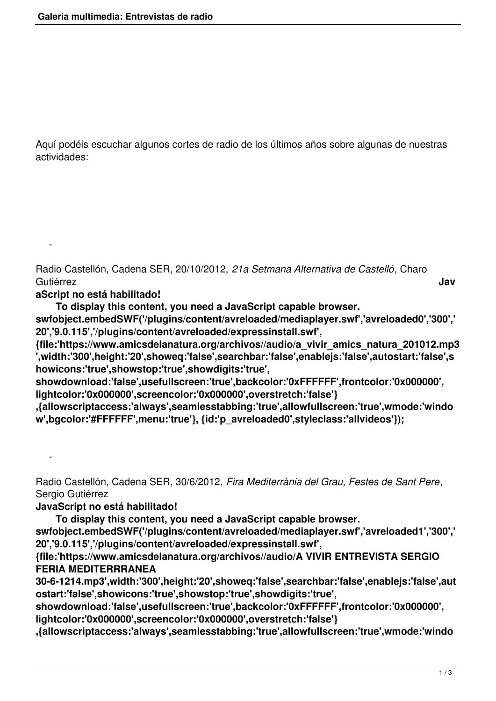Aquí podéis escuchar algunos cortes de radio de los últimos años sobre algunas de nuestras actividades:

Radio Castellón, Cadena SER, 20/10/2012, *21a Setmana Alternativa de Castelló*, Charo Gutiérrez **Jav**

## **aScript no está habilitado!**

-

-

**To display this content, you need a JavaScript capable browser.**

**swfobject.embedSWF('/plugins/content/avreloaded/mediaplayer.swf','avreloaded0','300',' 20','9.0.115','/plugins/content/avreloaded/expressinstall.swf',**

**{file:'https://www.amicsdelanatura.org/archivos//audio/a\_vivir\_amics\_natura\_201012.mp3 ',width:'300',height:'20',showeq:'false',searchbar:'false',enablejs:'false',autostart:'false',s howicons:'true',showstop:'true',showdigits:'true',**

**showdownload:'false',usefullscreen:'true',backcolor:'0xFFFFFF',frontcolor:'0x000000', lightcolor:'0x000000',screencolor:'0x000000',overstretch:'false'}**

**,{allowscriptaccess:'always',seamlesstabbing:'true',allowfullscreen:'true',wmode:'windo w',bgcolor:'#FFFFFF',menu:'true'}, {id:'p\_avreloaded0',styleclass:'allvideos'});** 

Radio Castellón, Cadena SER, 30/6/2012, *Fira Mediterrània del Grau, Festes de Sant Pere*, Sergio Gutiérrez

## **JavaScript no está habilitado!**

**To display this content, you need a JavaScript capable browser.**

**swfobject.embedSWF('/plugins/content/avreloaded/mediaplayer.swf','avreloaded1','300',' 20','9.0.115','/plugins/content/avreloaded/expressinstall.swf',**

**{file:'https://www.amicsdelanatura.org/archivos//audio/A VIVIR ENTREVISTA SERGIO FERIA MEDITERRRANEA**

**30-6-1214.mp3',width:'300',height:'20',showeq:'false',searchbar:'false',enablejs:'false',aut ostart:'false',showicons:'true',showstop:'true',showdigits:'true',**

**showdownload:'false',usefullscreen:'true',backcolor:'0xFFFFFF',frontcolor:'0x000000', lightcolor:'0x000000',screencolor:'0x000000',overstretch:'false'}**

**,{allowscriptaccess:'always',seamlesstabbing:'true',allowfullscreen:'true',wmode:'windo**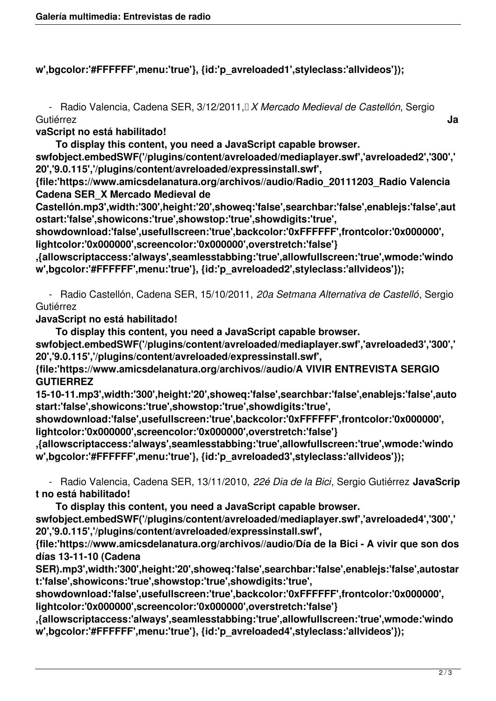## **w',bgcolor:'#FFFFFF',menu:'true'}, {id:'p\_avreloaded1',styleclass:'allvideos'});**

 - Radio Valencia, Cadena SER, 3/12/2011, *X Mercado Medieval de Castellón*, Sergio Gutiérrez **Ja**

**vaScript no está habilitado!**

**To display this content, you need a JavaScript capable browser.**

**swfobject.embedSWF('/plugins/content/avreloaded/mediaplayer.swf','avreloaded2','300',' 20','9.0.115','/plugins/content/avreloaded/expressinstall.swf',**

**{file:'https://www.amicsdelanatura.org/archivos//audio/Radio\_20111203\_Radio Valencia Cadena SER\_X Mercado Medieval de**

**Castellón.mp3',width:'300',height:'20',showeq:'false',searchbar:'false',enablejs:'false',aut ostart:'false',showicons:'true',showstop:'true',showdigits:'true',**

**showdownload:'false',usefullscreen:'true',backcolor:'0xFFFFFF',frontcolor:'0x000000', lightcolor:'0x000000',screencolor:'0x000000',overstretch:'false'}**

**,{allowscriptaccess:'always',seamlesstabbing:'true',allowfullscreen:'true',wmode:'windo w',bgcolor:'#FFFFFF',menu:'true'}, {id:'p\_avreloaded2',styleclass:'allvideos'});** 

 - Radio Castellón, Cadena SER, 15/10/2011, *20a Setmana Alternativa de Castelló*, Sergio Gutiérrez

**JavaScript no está habilitado!**

**To display this content, you need a JavaScript capable browser.**

**swfobject.embedSWF('/plugins/content/avreloaded/mediaplayer.swf','avreloaded3','300',' 20','9.0.115','/plugins/content/avreloaded/expressinstall.swf',**

**{file:'https://www.amicsdelanatura.org/archivos//audio/A VIVIR ENTREVISTA SERGIO GUTIERREZ**

**15-10-11.mp3',width:'300',height:'20',showeq:'false',searchbar:'false',enablejs:'false',auto start:'false',showicons:'true',showstop:'true',showdigits:'true',**

**showdownload:'false',usefullscreen:'true',backcolor:'0xFFFFFF',frontcolor:'0x000000', lightcolor:'0x000000',screencolor:'0x000000',overstretch:'false'}**

**,{allowscriptaccess:'always',seamlesstabbing:'true',allowfullscreen:'true',wmode:'windo w',bgcolor:'#FFFFFF',menu:'true'}, {id:'p\_avreloaded3',styleclass:'allvideos'});** 

 - Radio Valencia, Cadena SER, 13/11/2010, *22é Dia de la Bici*, Sergio Gutiérrez **JavaScrip t no está habilitado!**

**To display this content, you need a JavaScript capable browser.**

**swfobject.embedSWF('/plugins/content/avreloaded/mediaplayer.swf','avreloaded4','300',' 20','9.0.115','/plugins/content/avreloaded/expressinstall.swf',**

**{file:'https://www.amicsdelanatura.org/archivos//audio/Día de la Bici - A vivir que son dos días 13-11-10 (Cadena**

**SER).mp3',width:'300',height:'20',showeq:'false',searchbar:'false',enablejs:'false',autostar t:'false',showicons:'true',showstop:'true',showdigits:'true',**

**showdownload:'false',usefullscreen:'true',backcolor:'0xFFFFFF',frontcolor:'0x000000', lightcolor:'0x000000',screencolor:'0x000000',overstretch:'false'}**

**,{allowscriptaccess:'always',seamlesstabbing:'true',allowfullscreen:'true',wmode:'windo w',bgcolor:'#FFFFFF',menu:'true'}, {id:'p\_avreloaded4',styleclass:'allvideos'});**